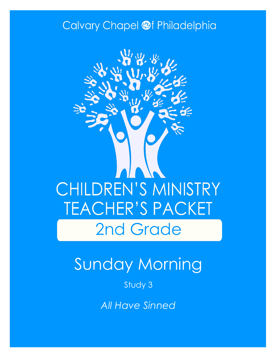### Calvary Chapel @f Philadelphia



# Sunday Morning

Study 3

*All Have Sinned*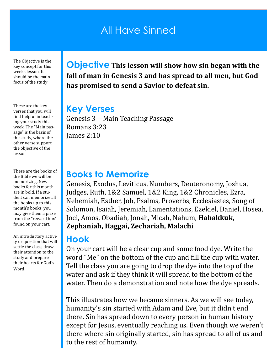### All Have Sinned

The Objective is the key concept for this weeks lesson. It should be the main focus of the study

These are the key verses that you will find helpful in teaching your study this week. The "Main passage" is the basis of the study, where the other verse support the objective of the lesson.

These are the books of the Bible we will be memorizing. New books for this month are in bold. If a student can memorize all the books up to this month's books, you may give them a prize from the "reward box" found on your cart.

An introductory activity or question that will settle the class, draw their attention to the study and prepare their hearts for God's Word.

**Objective This lesson will show how sin began with the fall of man in Genesis 3 and has spread to all men, but God has promised to send a Savior to defeat sin.**

#### **Key Verses**

Genesis 3—Main Teaching Passage Romans 3:23 James 2:10

#### **Books to Memorize**

Genesis, Exodus, Leviticus, Numbers, Deuteronomy, Joshua, Judges, Ruth, 1&2 Samuel, 1&2 King, 1&2 Chronicles, Ezra, Nehemiah, Esther, Job, Psalms, Proverbs, Ecclesiastes, Song of Solomon, Isaiah, Jeremiah, Lamentations, Ezekiel, Daniel, Hosea, Joel, Amos, Obadiah, Jonah, Micah, Nahum, **Habakkuk, Zephaniah, Haggai, Zechariah, Malachi**

#### **Hook**

On your cart will be a clear cup and some food dye. Write the word "Me" on the bottom of the cup and fill the cup with water. Tell the class you are going to drop the dye into the top of the water and ask if they think it will spread to the bottom of the water. Then do a demonstration and note how the dye spreads.

This illustrates how we became sinners. As we will see today, humanity's sin started with Adam and Eve, but it didn't end there. Sin has spread down to every person in human history except for Jesus, eventually reaching us. Even though we weren't there where sin originally started, sin has spread to all of us and to the rest of humanity.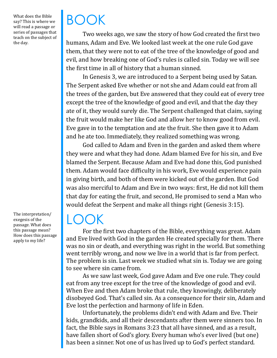What does the Bible say? This is where we will read a passage or series of passages that teach on the subject of the day.

The interpretation/ exegesis of the passage. What does this passage mean? How does this passage apply to my life?

# BOOK

Two weeks ago, we saw the story of how God created the first two humans, Adam and Eve. We looked last week at the one rule God gave them, that they were not to eat of the tree of the knowledge of good and evil, and how breaking one of God's rules is called sin. Today we will see the first time in all of history that a human sinned.

In Genesis 3, we are introduced to a Serpent being used by Satan. The Serpent asked Eve whether or not she and Adam could eat from all the trees of the garden, but Eve answered that they could eat of every tree except the tree of the knowledge of good and evil, and that the day they ate of it, they would surely die. The Serpent challenged that claim, saying the fruit would make her like God and allow her to know good from evil. Eve gave in to the temptation and ate the fruit. She then gave it to Adam and he ate too. Immediately, they realized something was wrong.

God called to Adam and Even in the garden and asked them where they were and what they had done. Adam blamed Eve for his sin, and Eve blamed the Serpent. Because Adam and Eve had done this, God punished them. Adam would face difficulty in his work, Eve would experience pain in giving birth, and both of them were kicked out of the garden. But God was also merciful to Adam and Eve in two ways: first, He did not kill them that day for eating the fruit, and second, He promised to send a Man who would defeat the Serpent and make all things right (Genesis 3:15).

### $LOCK$

For the first two chapters of the Bible, everything was great. Adam and Eve lived with God in the garden He created specially for them. There was no sin or death, and everything was right in the world. But something went terribly wrong, and now we live in a world that is far from perfect. The problem is sin. Last week we studied what sin is. Today we are going to see where sin came from.

As we saw last week, God gave Adam and Eve one rule. They could eat from any tree except for the tree of the knowledge of good and evil. When Eve and then Adam broke that rule, they knowingly, deliberately disobeyed God. That's called sin. As a consequence for their sin, Adam and Eve lost the perfection and harmony of life in Eden.

Unfortunately, the problems didn't end with Adam and Eve. Their kids, grandkids, and all their descendants after them were sinners too. In fact, the Bible says in Romans 3:23 that all have sinned, and as a result, have fallen short of God's glory. Every human who's ever lived (but one) has been a sinner. Not one of us has lived up to God's perfect standard.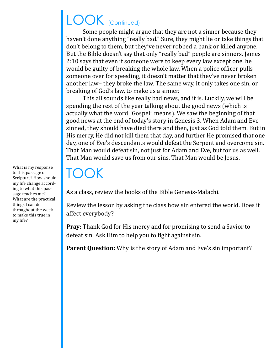## LOOK (Continued)

Some people might argue that they are not a sinner because they haven't done anything "really bad." Sure, they might lie or take things that don't belong to them, but they've never robbed a bank or killed anyone. But the Bible doesn't say that only "really bad" people are sinners. James 2:10 says that even if someone were to keep every law except one, he would be guilty of breaking the whole law. When a police officer pulls someone over for speeding, it doesn't matter that they've never broken another law– they broke the law. The same way, it only takes one sin, or breaking of God's law, to make us a sinner.

This all sounds like really bad news, and it is. Luckily, we will be spending the rest of the year talking about the good news (which is actually what the word "Gospel" means). We saw the beginning of that good news at the end of today's story in Genesis 3. When Adam and Eve sinned, they should have died there and then, just as God told them. But in His mercy, He did not kill them that day, and further He promised that one day, one of Eve's descendants would defeat the Serpent and overcome sin. That Man would defeat sin, not just for Adam and Eve, but for us as well. That Man would save us from our sins. That Man would be Jesus.

### TOOK

As a class, review the books of the Bible Genesis-Malachi.

Review the lesson by asking the class how sin entered the world. Does it affect everybody?

**Pray:** Thank God for His mercy and for promising to send a Savior to defeat sin. Ask Him to help you to fight against sin.

**Parent Question:** Why is the story of Adam and Eve's sin important?

What is my response to this passage of Scripture? How should my life change according to what this passage teaches me? What are the practical things I can do throughout the week to make this true in my life?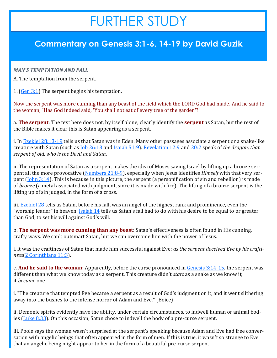## FURTHER STUDY

#### **Commentary on Genesis 3:1-6, 14-19 by David Guzik**

#### *MAN'S TEMPTATION AND FALL*

A. The temptation from the serpent.

1.  $(Gen 3:1)$  The serpent begins his temptation.

Now the serpent was more cunning than any beast of the field which the LORD God had made. And he said to the woman, "Has God indeed said, 'You shall not eat of every tree of the garden'?"

a. **The serpent**: The text here does not, by itself alone, clearly identify the **serpent** as Satan, but the rest of the Bible makes it clear this is Satan appearing as a serpent.

i. In **[Ezekiel 28:13](https://www.blueletterbible.org/kjv/ezekiel/28/13-19/s_830013)-19** tells us that Satan was in Eden. Many other passages associate a serpent or a snake-like creature with Satan (such as [Job 26:13](https://www.blueletterbible.org/kjv/job/26/13/s_462013) and [Isaiah 51:9\)](https://www.blueletterbible.org/kjv/isaiah/51/9/s_730009). [Revelation 12:9](https://www.blueletterbible.org/kjv/revelation/12/9/s_1179009) and [20:2](https://www.blueletterbible.org/kjv/revelation/20/2/s_1187002) speak of *the dragon, that serpent of old, who is the Devil and Satan*.

ii. The representation of Satan as a serpent makes the idea of Moses saving Israel by lifting up a bronze serpent all the more provocative ([Numbers 21:8](https://www.blueletterbible.org/kjv/numbers/21/8-9/s_138008)-9), especially when Jesus identifies *Himself* with that very serpent ([John 3:14\)](https://www.blueletterbible.org/kjv/john/3/14/s_1000014). This is because in this picture, the serpent (a personification of sin and rebellion) is made of *bronze* (a metal associated with judgment, since it is made with fire). The lifting of a bronze serpent is the lifting up of sin judged, in the form of a cross.

iii. [Ezekiel 28](https://www.blueletterbible.org/kjv/ezekiel/28/1-26/s_830001) tells us Satan, before his fall, was an angel of the highest rank and prominence, even the "worship leader" in heaven. [Isaiah 14](https://www.blueletterbible.org/kjv/isaiah/14/1-32/s_693001) tells us Satan's fall had to do with his desire to be equal to or greater than God, to set his will against God's will.

b. **The serpent was more cunning than any beast**: Satan's effectiveness is often found in His cunning, crafty ways. We can't outsmart Satan, but we can overcome him with the power of Jesus.

i. It was the craftiness of Satan that made him successful against Eve: *as the serpent deceived Eve by his craftiness*([2 Corinthians 11:3\).](https://www.blueletterbible.org/kjv/2corinthians/11/3/s_1089003)

c. **And he said to the woman**: Apparently, before the curse pronounced in [Genesis 3:14](https://www.blueletterbible.org/kjv/genesis/3/14-15/s_3014)-15, the serpent was different than what we know today as a serpent. This creature didn't *start* as a snake as we know it, it *became* one.

i. "The creature that tempted Eve became a serpent as a result of God's judgment on it, and it went slithering away into the bushes to the intense horror of Adam and Eve." (Boice)

ii. Demonic spirits evidently have the ability, under certain circumstances, to indwell human or animal bodies [\(Luke 8:33\).](https://www.blueletterbible.org/kjv/luke/8/33/s_981033) On this occasion, Satan chose to indwell the body of a pre-curse serpent.

iii. Poole says the woman wasn't surprised at the serpent's speaking because Adam and Eve had free conversation with angelic beings that often appeared in the form of men. If this is true, it wasn't so strange to Eve that an angelic being might appear to her in the form of a beautiful pre-curse serpent.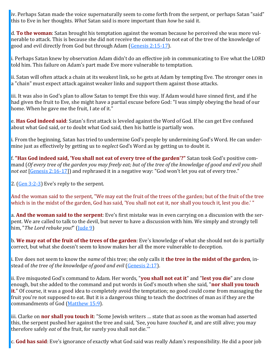iv. Perhaps Satan made the voice supernaturally seem to come forth from the serpent, or perhaps Satan "said" this to Eve in her thoughts. *What* Satan said is more important than *how* he said it.

d. **To the woman**: Satan brought his temptation against the woman because he perceived she was more vulnerable to attack. This is because she did not receive the command to not eat of the tree of the knowledge of good and evil directly from God but through Adam [\(Genesis 2:15](https://www.blueletterbible.org/kjv/genesis/2/15-17/s_2015)-17).

i. Perhaps Satan knew by observation Adam didn't do an effective job in communicating to Eve what the LORD told him. This failure on Adam's part made Eve more vulnerable to temptation.

ii. Satan will often attack a chain at its weakest link, so he gets at Adam by tempting Eve. The stronger ones in a "chain" must expect attack against weaker links and support them against those attacks.

iii. It was also in God's plan to allow Satan to tempt Eve this way. If Adam would have sinned first, and if he had given the fruit to Eve, she might have a partial excuse before God: "I was simply obeying the head of our home. When he gave me the fruit, I ate of it."

e. **Has God indeed said**: Satan's first attack is leveled against the Word of God. If he can get Eve confused about what God said, or to doubt what God said, then his battle is partially won.

i. From the beginning, Satan has tried to undermine God's people by undermining God's Word. He can undermine just as effectively by getting us to *neglect* God's Word as by getting us to doubt it.

f. **"Has God indeed said, 'You shall not eat of every tree of the garden'?"** Satan took God's positive command (*Of every tree of the garden you may freely eat; but of the tree of the knowledge of good and evil you shall not eat* [[Genesis 2:16](https://www.blueletterbible.org/kjv/genesis/2/16-17/s_2016)-17]) and rephrased it in a negative way: "God won't let you eat of every tree."

2.  $(Gen 3:2-3)$  $(Gen 3:2-3)$  $(Gen 3:2-3)$  Eve's reply to the serpent.

And the woman said to the serpent, "We may eat the fruit of the trees of the garden; but of the fruit of the tree which is in the midst of the garden, God has said, 'You shall not eat it, nor shall you touch it, lest you die.' "

a. **And the woman said to the serpent**: Eve's first mistake was in even carrying on a discussion with the serpent. We are called to talk to the devil, but never to have a discussion with him. We simply and strongly tell him, "*The Lord rebuke you!*" [\(Jude 9\)](https://www.blueletterbible.org/kjv/jude/1/9/s_1167009)

b. **We may eat of the fruit of the trees of the garden**: Eve's knowledge of what she should not do is partially correct, but what she doesn't seem to know makes her all the more vulnerable to deception.

i. Eve does not seem to know the *name* of this tree; she only calls it **the tree in the midst of the garden**, instead of *the tree of the knowledge of good and evil* [\(Genesis 2:17\).](https://www.blueletterbible.org/kjv/genesis/2/17/s_2017)

ii. Eve misquoted God's command to Adam. Her words, "**you shall not eat it**" and "**lest you die**" are close enough, but she added to the command and put words in God's mouth when she said, "**nor shall you touch it**." Of course, it was a good idea to completely avoid the temptation; no good could come from massaging the fruit you're not supposed to eat. But it is a dangerous thing to teach the doctrines of man as if they are the commandments of God ([Matthew 15:9\).](https://www.blueletterbible.org/kjv/matthew/15/9/s_944009)

iii. Clarke on **nor shall you touch it**: "Some Jewish writers … state that as soon as the woman had asserted this, the serpent pushed her against the tree and said, 'See, you have *touched* it, and are still alive; you may therefore safely *eat* of the fruit, for surely you shall not die.'"

c. **God has said**: Eve's ignorance of exactly what God said was really Adam's responsibility. He did a poor job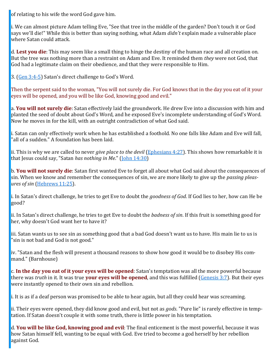of relating to his wife the word God gave him.

i. We can almost picture Adam telling Eve, "See that tree in the middle of the garden? Don't touch it or God says we'll die!" While this is better than saying nothing, what Adam *didn't* explain made a vulnerable place where Satan could attack.

d. **Lest you die**: This may seem like a small thing to hinge the destiny of the human race and all creation on. But the tree was nothing more than a restraint on Adam and Eve. It reminded them *they* were not God, that God had a legitimate claim on their obedience, and that they were responsible to Him.

3. ([Gen 3:4](https://www.blueletterbible.org/kjv/genesis/3/4-5/s_3004)-5) Satan's direct challenge to God's Word.

Then the serpent said to the woman, "You will not surely die. For God knows that in the day you eat of it your eyes will be opened, and you will be like God, knowing good and evil."

a. **You will not surely die**: Satan effectively laid the groundwork. He drew Eve into a discussion with him and planted the seed of doubt about God's Word, and he exposed Eve's incomplete understanding of God's Word. Now he moves in for the kill, with an outright contradiction of what God said.

i. Satan can only effectively work when he has established a foothold. No one falls like Adam and Eve will fall, "all of a sudden." A foundation has been laid.

ii. This is why we are called to never *give place to the devil* ([Ephesians 4:27\)](https://www.blueletterbible.org/kjv/ephesians/4/27/s_1101027). This shows how remarkable it is that Jesus could say, "Satan *has nothing in Me*." ([John 14:30\)](https://www.blueletterbible.org/kjv/john/14/30/s_1011030)

b. **You will not surely die**: Satan first wanted Eve to forget all about what God said about the consequences of sin. When we know and remember the consequences of sin, we are more likely to give up the *passing pleasures of sin* [\(Hebrews 11:25\)](https://www.blueletterbible.org/kjv/hebrews/11/25/s_1144025).

i. In Satan's direct challenge, he tries to get Eve to doubt the *goodness of God*. If God lies to her, how can He be good?

ii. In Satan's direct challenge, he tries to get Eve to doubt the *badness of sin*. If this fruit is something good for her, why doesn't God want her to have it?

iii. Satan wants us to see sin as something good that a bad God doesn't want us to have. His main lie to us is "sin is not bad and God is not good."

iv. "Satan and the flesh will present a thousand reasons to show how good it would be to disobey His command." (Barnhouse)

c. **In the day you eat of it your eyes will be opened**: Satan's temptation was all the more powerful because there was *truth* in it. It was true **your eyes will be opened**, and this was fulfilled ([Genesis 3:7\)](https://www.blueletterbible.org/kjv/genesis/3/7/s_3007). But their eyes were instantly opened to their own sin and rebellion.

i. It is as if a deaf person was promised to be able to hear again, but all they could hear was screaming.

ii. Their eyes were opened, they did know good and evil, but not as *gods*. "Pure lie" is rarely effective in temptation. If Satan doesn't couple it with some truth, there is little power in his temptation.

d. **You will be like God, knowing good and evil**: The final enticement is the most powerful, because it was how Satan himself fell, wanting to be equal with God. Eve tried to become a god herself by her rebellion against God.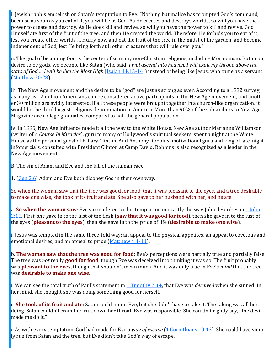i. Jewish rabbis embellish on Satan's temptation to Eve: "Nothing but malice has prompted God's command, because as soon as you eat of it, you will be as God. As He creates and destroys worlds, so will you have the power to create and destroy. As He does kill and revive, so will you have the power to kill and revive. God Himself ate first of the fruit of the tree, and then He created the world. Therefore, He forbids you to eat of it, lest you create other worlds … Hurry now and eat the fruit of the tree in the midst of the garden, and become independent of God, lest He bring forth still other creatures that will rule over you."

ii. The goal of becoming God is the center of so many non-Christian religions, including Mormonism. But in our desire to be gods, we become like Satan (who said, *I will ascend into heaven, I will exalt my throne above the stars of God … I will be like the Most High* [\[Isaiah 14:13](https://www.blueletterbible.org/kjv/isaiah/14/13-14/s_693013)-14]) instead of being like Jesus, who came as a servant [\(Matthew 20:28\).](https://www.blueletterbible.org/kjv/matthew/20/28/s_949028)

iii. The New Age movement and the desire to be "god" are just as strong as ever. According to a 1992 survey, as many as 12 million Americans can be considered active participants in the New Age movement, and another 30 million are avidly interested. If all these people were brought together in a church-like organization, it would be the third largest religious denomination in America. More than 90% of the subscribers to New Age Magazine are college graduates, compared to half the general population.

iv. In 1995, New Age influence made it all the way to the White House. New Age author Marianne Williamson (writer of *A Course In Miracles*), guru to many of Hollywood's spiritual seekers, spent a night at the White House as the personal guest of Hillary Clinton. And Anthony Robbins, motivational guru and king of late-night infomercials, consulted with President Clinton at Camp David. Robbins is also recognized as a leader in the New Age movement.

B. The sin of Adam and Eve and the fall of the human race.

1. ([Gen 3:6\)](https://www.blueletterbible.org/kjv/genesis/3/6/s_3006) Adam and Eve both disobey God in their own way.

So when the woman saw that the tree was good for food, that it was pleasant to the eyes, and a tree desirable to make one wise, she took of its fruit and ate. She also gave to her husband with her, and he ate.

a. **So when the woman saw**: Eve surrendered to this temptation in exactly the way John describes in [1 John](https://www.blueletterbible.org/kjv/1john/2/16/s_1161016)  [2:16.](https://www.blueletterbible.org/kjv/1john/2/16/s_1161016) First, she gave in to the lust of the flesh (**saw that it was good for food**), then she gave in to the lust of the eyes (**pleasant to the eyes**), then she gave in to the pride of life (**desirable to make one wise**).

i. Jesus was tempted in the same three-fold way: an appeal to the physical appetites, an appeal to covetous and emotional desires, and an appeal to pride ([Matthew 4:1](https://www.blueletterbible.org/kjv/matthew/4/1-11/s_933001)-11).

b. **The woman saw that the tree was good for food**: Eve's perceptions were partially true and partially false. The tree was *not* really **good for food**, though Eve was deceived into thinking it was so. The fruit probably was **pleasant to the eyes**, though that shouldn't mean much. And it was only true in Eve's *mind* that the tree was **desirable to make one wise**.

i. We can see the total truth of Paul's statement in [1 Timothy 2:14,](https://www.blueletterbible.org/kjv/1timothy/2/14/s_1121014) that Eve was *deceived* when she sinned. In her mind, she thought she was doing something good for herself.

c. **She took of its fruit and ate**: Satan could tempt Eve, but she didn't have to take it. The taking was all her doing. Satan couldn't cram the fruit down her throat. Eve was responsible. She couldn't rightly say, "the devil made me do it."

i. As with every temptation, God had made for Eve a *way of escape* [\(1 Corinthians 10:13\)](https://www.blueletterbible.org/kjv/1corinthians/10/13/s_1072013). She could have simply run from Satan and the tree, but Eve didn't take God's way of escape.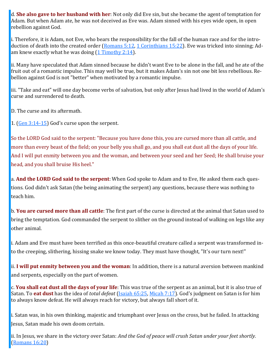d. **She also gave to her husband with her**: Not only did Eve sin, but she became the agent of temptation for Adam. But when Adam ate, he was not deceived as Eve was. Adam sinned with his eyes wide open, in open rebellion against God.

i. Therefore, it is Adam, not Eve, who bears the responsibility for the fall of the human race and for the introduction of death into the created order ([Romans 5:12,](https://www.blueletterbible.org/kjv/romans/5/12/s_1051012) [1 Corinthians 15:22\)](https://www.blueletterbible.org/kjv/1corinthians/15/22/s_1077022). Eve was tricked into sinning; Adam knew exactly what he was doing [\(1 Timothy 2:14\)](https://www.blueletterbible.org/kjv/1timothy/2/14/s_1121014).

ii. Many have speculated that Adam sinned because he didn't want Eve to be alone in the fall, and he ate of the fruit out of a romantic impulse. This may well be true, but it makes Adam's sin not one bit less rebellious. Rebellion against God is not "better" when motivated by a romantic impulse.

iii. "Take and eat" will one day become verbs of salvation, but only after Jesus had lived in the world of Adam's curse and surrendered to death.

D. The curse and its aftermath.

1. ([Gen 3:14](https://www.blueletterbible.org/kjv/genesis/3/14-15/s_3014)-15) God's curse upon the serpent.

So the LORD God said to the serpent: "Because you have done this, you are cursed more than all cattle, and more than every beast of the field; on your belly you shall go, and you shall eat dust all the days of your life. And I will put enmity between you and the woman, and between your seed and her Seed; He shall bruise your head, and you shall bruise His heel."

a. **And the LORD God said to the serpent**: When God spoke to Adam and to Eve, He asked them each questions. God didn't ask Satan (the being animating the serpent) any questions, because there was nothing to teach him.

b. **You are cursed more than all cattle**: The first part of the curse is directed at the animal that Satan used to bring the temptation. God commanded the serpent to slither on the ground instead of walking on legs like any other animal.

i. Adam and Eve must have been terrified as this once-beautiful creature called a serpent was transformed into the creeping, slithering, hissing snake we know today. They must have thought, "It's our turn next!"

ii. **I will put enmity between you and the woman**: In addition, there is a natural aversion between mankind and serpents, especially on the part of women.

c. **You shall eat dust all the days of your life**: This was true of the serpent as an animal, but it is also true of Satan. To **eat dust** has the idea of *total defeat* [\(Isaiah 65:25,](https://www.blueletterbible.org/kjv/isaiah/65/25/s_744025) [Micah 7:17\).](https://www.blueletterbible.org/kjv/micah/7/17/s_900017) God's judgment on Satan is for him to always know defeat. He will always reach for victory, but always fall short of it.

i. Satan was, in his own thinking, majestic and triumphant over Jesus on the cross, but he failed. In attacking Jesus, Satan made his own doom certain.

ii. In Jesus, we share in the victory over Satan: *And the God of peace will crush Satan under your feet shortly.* [\(Romans 16:20\)](https://www.blueletterbible.org/kjv/romans/16/20/s_1062020)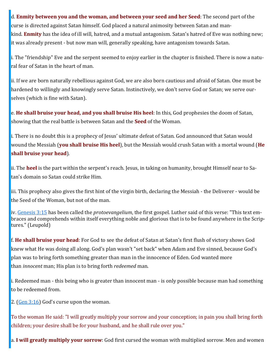d. **Enmity between you and the woman, and between your seed and her Seed**: The second part of the curse is directed against Satan himself. God placed a natural animosity between Satan and mankind. **Enmity** has the idea of ill will, hatred, and a mutual antagonism. Satan's hatred of Eve was nothing new; it was already present - but now man will, generally speaking, have antagonism towards Satan.

i. The "friendship" Eve and the serpent seemed to enjoy earlier in the chapter is finished. There is now a natural fear of Satan in the heart of man.

ii. If we are born naturally rebellious against God, we are also born cautious and afraid of Satan. One must be hardened to willingly and knowingly serve Satan. Instinctively, we don't serve God or Satan; we serve ourselves (which is fine with Satan).

e. **He shall bruise your head, and you shall bruise His heel**: In this, God prophesies the doom of Satan, showing that the real battle is between Satan and the **Seed** of the Woman.

i. There is no doubt this is a prophecy of Jesus' ultimate defeat of Satan. God announced that Satan would wound the Messiah (**you shall bruise His heel**), but the Messiah would crush Satan with a mortal wound (**He shall bruise your head**).

ii. The **heel** is the part within the serpent's reach. Jesus, in taking on humanity, brought Himself near to Satan's domain so Satan could strike Him.

iii. This prophecy also gives the first hint of the virgin birth, declaring the Messiah - the Deliverer - would be the Seed of the Woman, but not of the man.

iv. [Genesis 3:15](https://www.blueletterbible.org/kjv/genesis/3/15/s_3015) has been called the *protoevangelium*, the first gospel. Luther said of this verse: "This text embraces and comprehends within itself everything noble and glorious that is to be found anywhere in the Scriptures." (Leupold)

f. **He shall bruise your head**: For God to see the defeat of Satan at Satan's first flush of victory shows God knew what He was doing all along. God's plan wasn't "set back" when Adam and Eve sinned, because God's plan was to bring forth something greater than man in the innocence of Eden. God wanted more than *innocent* man; His plan is to bring forth *redeemed* man.

i. Redeemed man - this being who is greater than innocent man - is only possible because man had something to be redeemed from.

2. ([Gen 3:16\)](https://www.blueletterbible.org/kjv/genesis/3/16/s_3016) God's curse upon the woman.

To the woman He said: "I will greatly multiply your sorrow and your conception; in pain you shall bring forth children; your desire shall be for your husband, and he shall rule over you."

a. **I will greatly multiply your sorrow**: God first cursed the woman with multiplied sorrow. Men and women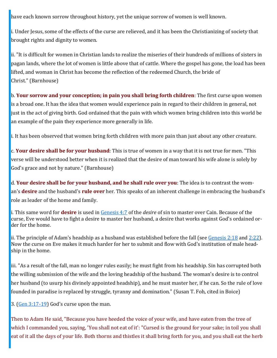have each known sorrow throughout history, yet the unique sorrow of women is well known.

i. Under Jesus, some of the effects of the curse are relieved, and it has been the Christianizing of society that brought rights and dignity to women.

ii. "It is difficult for women in Christian lands to realize the miseries of their hundreds of millions of sisters in pagan lands, where the lot of women is little above that of cattle. Where the gospel has gone, the load has been lifted, and woman in Christ has become the reflection of the redeemed Church, the bride of Christ." (Barnhouse)

b. **Your sorrow and your conception; in pain you shall bring forth children**: The first curse upon women is a broad one. It has the idea that women would experience pain in regard to their children in general, not just in the act of giving birth. God ordained that the pain with which women bring children into this world be an example of the pain they experience more generally in life.

i. It has been observed that women bring forth children with more pain than just about any other creature.

c. **Your desire shall be for your husband**: This is true of women in a way that it is not true for men. "This verse will be understood better when it is realized that the desire of man toward his wife alone is solely by God's grace and not by nature." (Barnhouse)

d. **Your desire shall be for your husband, and he shall rule over you**: The idea is to contrast the woman's **desire** and the husband's **rule over** her. This speaks of an inherent challenge in embracing the husband's role as leader of the home and family.

i. This same word for **desire** is used in [Genesis 4:7](https://www.blueletterbible.org/kjv/genesis/4/7/s_4007) of the *desire* of sin to master over Cain. Because of the curse, Eve would have to fight a desire to master her husband, a desire that works against God's ordained order for the home.

ii. The principle of Adam's headship as a husband was established before the fall (see [Genesis 2:18](https://www.blueletterbible.org/kjv/genesis/2/18/s_2018) and [2:22\).](https://www.blueletterbible.org/kjv/genesis/2/22/s_2022) Now the curse on Eve makes it much harder for her to submit and flow with God's institution of male headship in the home.

iii. "As a result of the fall, man no longer rules easily; he must fight from his headship. Sin has corrupted both the willing submission of the wife and the loving headship of the husband. The woman's desire is to control her husband (to usurp his divinely appointed headship), and he must master her, if he can. So the rule of love founded in paradise is replaced by struggle, tyranny and domination." (Susan T. Foh, cited in Boice)

3. ([Gen 3:17](https://www.blueletterbible.org/kjv/genesis/3/17-19/s_3017)-19) God's curse upon the man.

Then to Adam He said, "Because you have heeded the voice of your wife, and have eaten from the tree of which I commanded you, saying, 'You shall not eat of it': "Cursed is the ground for your sake; in toil you shall eat of it all the days of your life. Both thorns and thistles it shall bring forth for you, and you shall eat the herb